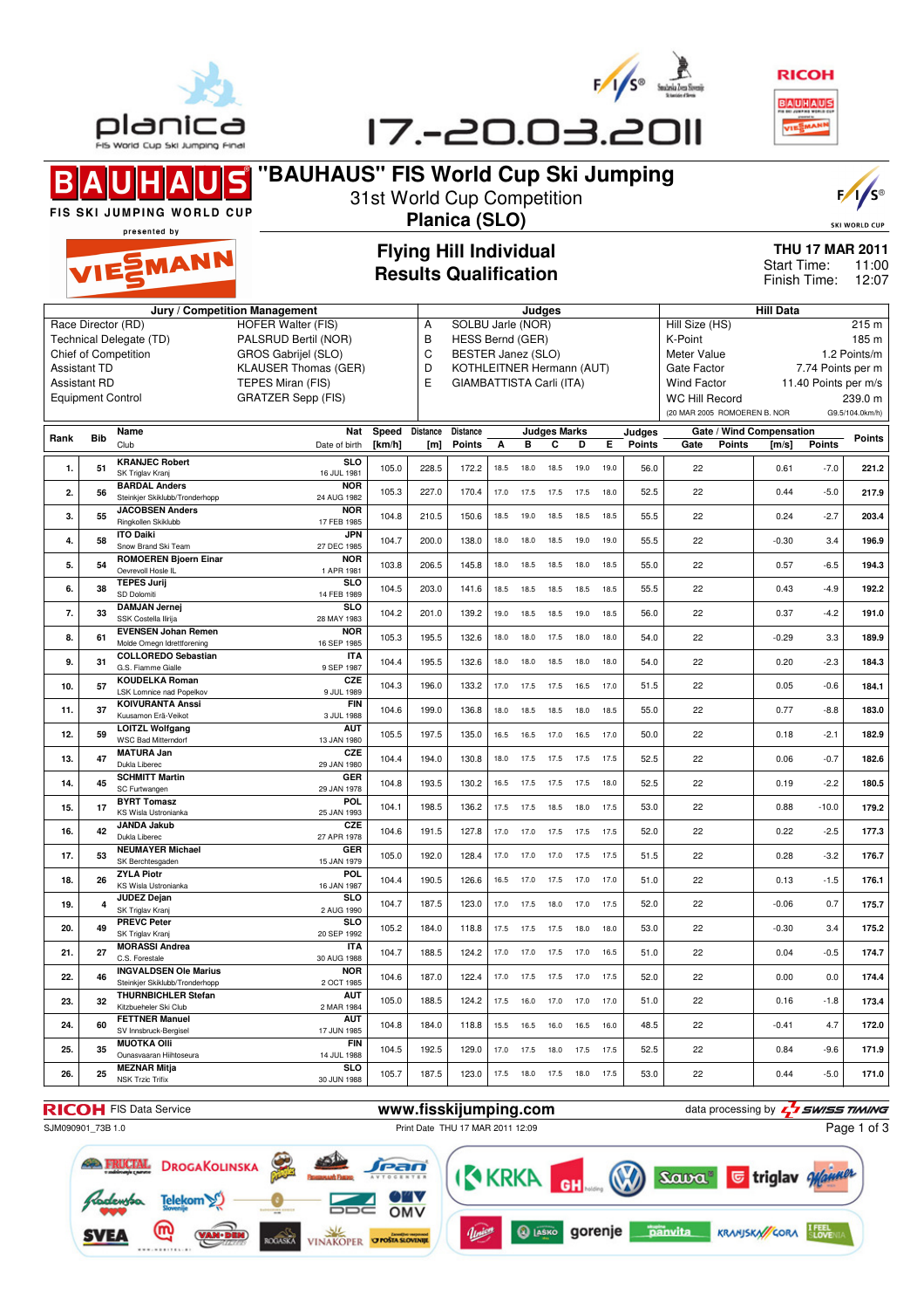





**"BAUHAUS" FIS World Cup Ski Jumping**  $\blacksquare$ B 31st World Cup Competition FIS SKI JUMPING WORLD CUP **Planica (SLO)** presented by



SKI WORLD CUP

MANN

## **Flying Hill Individual Results Qualification**

**THU 17 MAR 2011** 11:00 Finish Time: 12:07 Start Time:

|                |                          | Jury / Competition Management                            |                            |        |                 |                                                       | Judges |      |                     |      | <b>Hill Data</b> |        |                                  |                              |                          |                      |                 |
|----------------|--------------------------|----------------------------------------------------------|----------------------------|--------|-----------------|-------------------------------------------------------|--------|------|---------------------|------|------------------|--------|----------------------------------|------------------------------|--------------------------|----------------------|-----------------|
|                | Race Director (RD)       |                                                          | <b>HOFER Walter (FIS)</b>  |        | A               | SOLBU Jarle (NOR)                                     |        |      |                     |      |                  |        | Hill Size (HS)<br>215 m          |                              |                          |                      |                 |
|                |                          | Technical Delegate (TD)                                  | PALSRUD Bertil (NOR)       |        | B               | <b>HESS Bernd (GER)</b>                               |        |      |                     |      |                  |        | K-Point<br>185 m                 |                              |                          |                      |                 |
|                |                          | Chief of Competition                                     | <b>GROS Gabrijel (SLO)</b> |        | C               | BESTER Janez (SLO)                                    |        |      |                     |      |                  |        | Meter Value<br>1.2 Points/m      |                              |                          |                      |                 |
|                | <b>Assistant TD</b>      |                                                          | KLAUSER Thomas (GER)       |        | D               |                                                       |        |      |                     |      |                  |        | Gate Factor<br>7.74 Points per m |                              |                          |                      |                 |
|                |                          |                                                          |                            |        | E               | KOTHLEITNER Hermann (AUT)<br>GIAMBATTISTA Carli (ITA) |        |      |                     |      |                  |        |                                  |                              |                          |                      |                 |
|                | <b>Assistant RD</b>      |                                                          | TEPES Miran (FIS)          |        |                 |                                                       |        |      |                     |      |                  |        | <b>Wind Factor</b>               |                              |                          | 11.40 Points per m/s |                 |
|                | <b>Equipment Control</b> |                                                          | <b>GRATZER Sepp (FIS)</b>  |        |                 |                                                       |        |      |                     |      |                  |        | <b>WC Hill Record</b>            |                              |                          |                      | 239.0 m         |
|                |                          |                                                          |                            |        |                 |                                                       |        |      |                     |      |                  |        |                                  | (20 MAR 2005 ROMOEREN B. NOR |                          |                      | G9.5/104.0km/h) |
|                |                          | Name                                                     | <b>Nat</b>                 | Speed  | <b>Distance</b> | Distance                                              |        |      | <b>Judges Marks</b> |      |                  | Judges |                                  |                              | Gate / Wind Compensation |                      |                 |
| Rank           | <b>Bib</b>               | Club                                                     | Date of birth              | [km/h] | [m]             | <b>Points</b>                                         | А      | в    | C                   | D    | E.               | Points | Gate                             | <b>Points</b>                | [m/s]                    | <b>Points</b>        | Points          |
|                |                          | <b>KRANJEC Robert</b>                                    | <b>SLO</b>                 |        |                 |                                                       |        |      |                     |      |                  |        |                                  |                              |                          |                      |                 |
| 1.             | 51                       | SK Triglav Kranj                                         | 16 JUL 1981                | 105.0  | 228.5           | 172.2                                                 | 18.5   | 18.0 | 18.5                | 19.0 | 19.0             | 56.0   | 22                               |                              | 0.61                     | $-7.0$               | 221.2           |
| $\overline{2}$ |                          | <b>BARDAL Anders</b>                                     | <b>NOR</b>                 | 105.3  | 227.0           | 170.4                                                 | 17.0   |      |                     |      |                  | 52.5   | 22                               |                              | 0.44                     | $-5.0$               | 217.9           |
|                | 56                       | Steinkjer Skiklubb/Tronderhopp                           | 24 AUG 1982                |        |                 |                                                       |        | 17.5 | 17.5                | 17.5 | 18.0             |        |                                  |                              |                          |                      |                 |
| 3.             | 55                       | <b>JACOBSEN Anders</b>                                   | <b>NOR</b>                 | 104.8  | 210.5           | 150.6                                                 | 18.5   | 19.0 | 18.5                | 18.5 | 18.5             | 55.5   | 22                               |                              | 0.24                     | $-2.7$               | 203.4           |
|                |                          | Ringkollen Skiklubb                                      | 17 FEB 1985                |        |                 |                                                       |        |      |                     |      |                  |        |                                  |                              |                          |                      |                 |
| 4.             | 58                       | <b>ITO Daiki</b><br>Snow Brand Ski Team                  | <b>JPN</b><br>27 DEC 1985  | 104.7  | 200.0           | 138.0                                                 | 18.0   | 18.0 | 18.5                | 19.0 | 19.0             | 55.5   | 22                               |                              | $-0.30$                  | 3.4                  | 196.9           |
|                |                          | <b>ROMOEREN Bjoern Einar</b>                             | <b>NOR</b>                 |        |                 |                                                       |        |      |                     |      |                  |        |                                  |                              |                          |                      |                 |
| 5.             | 54                       | Oevrevoll Hosle IL                                       | 1 APR 1981                 | 103.8  | 206.5           | 145.8                                                 | 18.0   | 18.5 | 18.5                | 18.0 | 18.5             | 55.0   | 22                               |                              | 0.57                     | $-6.5$               | 194.3           |
|                |                          | <b>TEPES Jurij</b>                                       | <b>SLO</b>                 | 104.5  | 203.0           |                                                       |        |      |                     |      |                  | 55.5   | 22                               |                              |                          | $-4.9$               |                 |
| 6.             | 38                       | SD Dolomiti                                              | 14 FEB 1989                |        |                 | 141.6                                                 | 18.5   | 18.5 | 18.5                | 18.5 | 18.5             |        |                                  |                              | 0.43                     |                      | 192.2           |
| 7.             | 33                       | <b>DAMJAN Jernej</b>                                     | SI O                       | 104.2  | 201.0           | 139.2                                                 | 19.0   | 18.5 | 18.5                | 19.0 | 18.5             | 56.0   | 22                               |                              | 0.37                     | $-4.2$               | 191.0           |
|                |                          | SSK Costella Ilirija                                     | 28 MAY 1983                |        |                 |                                                       |        |      |                     |      |                  |        |                                  |                              |                          |                      |                 |
| 8.             | 61                       | <b>EVENSEN Johan Remen</b><br>Molde Omegn Idrettforening | <b>NOR</b><br>16 SEP 1985  | 105.3  | 195.5           | 132.6                                                 | 18.0   | 18.0 | 17.5                | 18.0 | 18.0             | 54.0   | 22                               |                              | $-0.29$                  | 3.3                  | 189.9           |
|                |                          | <b>COLLOREDO Sebastian</b>                               | <b>ITA</b>                 |        |                 |                                                       |        |      |                     |      |                  |        |                                  |                              |                          |                      |                 |
| 9.             | 31                       | G.S. Fiamme Gialle                                       | 9 SEP 1987                 | 104.4  | 195.5           | 132.6                                                 | 18.0   | 18.0 | 18.5                | 18.0 | 18.0             | 54.0   | 22                               |                              | 0.20                     | $-2.3$               | 184.3           |
|                |                          | <b>KOUDELKA Roman</b>                                    | CZE                        |        |                 |                                                       |        |      |                     |      |                  |        |                                  |                              |                          |                      |                 |
| 10.            | 57                       | LSK Lomnice nad Popelkov                                 | 9 JUL 1989                 | 104.3  | 196.0           | 133.2                                                 | 17.0   | 17.5 | 17.5                | 16.5 | 17.0             | 51.5   | 22                               |                              | 0.05                     | $-0.6$               | 184.1           |
| 11.            | 37                       | <b>KOIVURANTA Anssi</b>                                  | <b>FIN</b>                 | 104.6  | 199.0           | 136.8                                                 | 18.0   | 18.5 | 18.5                | 18.0 | 18.5             | 55.0   | 22                               |                              | 0.77                     | $-8.8$               | 183.0           |
|                |                          | Kuusamon Erä-Veikot                                      | 3 JUL 1988                 |        |                 |                                                       |        |      |                     |      |                  |        |                                  |                              |                          |                      |                 |
| 12.            | 59                       | <b>LOITZL Wolfgang</b><br><b>WSC Bad Mitterndorf</b>     | <b>AUT</b><br>13 JAN 1980  | 105.5  | 197.5           | 135.0                                                 | 16.5   | 16.5 | 17.0                | 16.5 | 17.0             | 50.0   | 22                               |                              | 0.18                     | $-2.1$               | 182.9           |
|                |                          | <b>MATURA Jan</b>                                        | CZE                        |        |                 |                                                       |        |      |                     |      |                  |        |                                  |                              |                          |                      |                 |
| 13.            | 47                       | Dukla Liberec                                            | 29 JAN 1980                | 104.4  | 194.0           | 130.8                                                 | 18.0   | 17.5 | 17.5                | 17.5 | 17.5             | 52.5   | 22                               |                              | 0.06                     | $-0.7$               | 182.6           |
|                |                          | <b>SCHMITT Martin</b>                                    | GER                        |        |                 |                                                       |        |      |                     |      |                  |        |                                  |                              |                          |                      |                 |
| 14.            | 45                       | SC Furtwangen                                            | 29 JAN 1978                | 104.8  | 193.5           | 130.2                                                 | 16.5   | 17.5 | 17.5                | 17.5 | 18.0             | 52.5   | 22                               |                              | 0.19                     | $-2.2$               | 180.5           |
| 15.            | 17                       | <b>BYRT Tomasz</b>                                       | POL                        | 104.1  | 198.5           | 136.2                                                 | 17.5   | 17.5 | 18.5                | 18.0 | 17.5             | 53.0   | 22                               |                              | 0.88                     | $-10.0$              | 179.2           |
|                |                          | KS Wisla Ustronianka                                     | 25 JAN 1993                |        |                 |                                                       |        |      |                     |      |                  |        |                                  |                              |                          |                      |                 |
| 16.            | 42                       | <b>JANDA Jakub</b><br>Dukla Liberec                      | CZE<br>27 APR 1978         | 104.6  | 191.5           | 127.8                                                 | 17.0   | 17.0 | 17.5                | 17.5 | 17.5             | 52.0   | 22                               |                              | 0.22                     | $-2.5$               | 177.3           |
|                |                          | <b>NEUMAYER Michael</b>                                  | <b>GER</b>                 |        |                 |                                                       |        |      |                     |      |                  |        |                                  |                              |                          |                      |                 |
| 17.            | 53                       | SK Berchtesgaden                                         | 15 JAN 1979                | 105.0  | 192.0           | 128.4                                                 | 17.0   | 17.0 | 17.0                | 17.5 | 17.5             | 51.5   | 22                               |                              | 0.28                     | $-3.2$               | 176.7           |
| 18.            |                          | <b>ZYLA Piotr</b>                                        | POL.                       | 104.4  | 190.5           | 126.6                                                 | 16.5   | 17.0 | 17.5                | 17.0 | 17.0             | 51.0   | 22                               |                              | 0.13                     | $-1.5$               | 176.1           |
|                | 26                       | KS Wisla Ustronianka                                     | 16 JAN 1987                |        |                 |                                                       |        |      |                     |      |                  |        |                                  |                              |                          |                      |                 |
| 19.            | 4                        | <b>JUDEZ Dejan</b>                                       | SL <sub>O</sub>            | 104.7  | 187.5           | 123.0                                                 | 17.0   | 17.5 | 18.0                | 17.0 | 17.5             | 52.0   | 22                               |                              | $-0.06$                  | 0.7                  | 175.7           |
|                |                          | SK Triglav Kranj                                         | 2 AUG 1990                 |        |                 |                                                       |        |      |                     |      |                  |        |                                  |                              |                          |                      |                 |
| 20.            | 49                       | <b>PREVC Peter</b><br>SK Triglav Krani                   | SI O                       | 105.2  | 184.0           | 118.8                                                 | 17.5   | 17.5 | 17.5                | 18.0 | 18.0             | 53.0   | 22                               |                              | $-0.30$                  | 3.4                  | 175.2           |
|                |                          | <b>MORASSI Andrea</b>                                    | 20 SEP 1992<br><b>ITA</b>  |        |                 |                                                       |        |      |                     |      |                  |        |                                  |                              |                          |                      |                 |
| 21.            | 27                       | C.S. Forestale                                           | 30 AUG 1988                | 104.7  | 188.5           | 124.2                                                 | 17.0   | 17.0 | 17.5                | 17.0 | 16.5             | 51.0   | 22                               |                              | 0.04                     | $-0.5$               | 174.7           |
|                |                          | <b>INGVALDSEN Ole Marius</b>                             | <b>NOR</b>                 |        |                 |                                                       |        |      |                     |      |                  |        |                                  |                              |                          |                      |                 |
| 22.            | 46                       | Steinkier Skiklubb/Tronderhopp                           | 2 OCT 1985                 | 104.6  | 187.0           | 122.4                                                 | 17.0   | 17.5 | 17.5                | 17.0 | 17.5             | 52.0   | 22                               |                              | 0.00                     | 0.0                  | 174.4           |
| 23.            | 32                       | <b>THURNBICHLER Stefan</b>                               | aut                        | 105.0  | 188.5           | 124.2                                                 | 17.5   | 16.0 | 17.0                | 17.0 | 17.0             | 51.0   | 22                               |                              | 0.16                     | $-1.8$               | 173.4           |
|                |                          | Kitzbueheler Ski Club                                    | 2 MAR 1984                 |        |                 |                                                       |        |      |                     |      |                  |        |                                  |                              |                          |                      |                 |
| 24.            | 60                       | <b>FETTNER Manuel</b><br>SV Innsbruck-Bergisel           | <b>AUT</b><br>17 JUN 1985  | 104.8  | 184.0           | 118.8                                                 | 15.5   | 16.5 | 16.0                | 16.5 | 16.0             | 48.5   | 22                               |                              | $-0.41$                  | 4.7                  | 172.0           |
|                |                          | <b>MUOTKA OIII</b>                                       | <b>FIN</b>                 |        |                 |                                                       |        |      |                     |      |                  |        |                                  |                              |                          |                      |                 |
| 25.            | 35                       | Ounasvaaran Hiihtoseura                                  | 14 JUL 1988                | 104.5  | 192.5           | 129.0                                                 | 17.0   | 17.5 | 18.0                | 17.5 | 17.5             | 52.5   | 22                               |                              | 0.84                     | $-9.6$               | 171.9           |
|                |                          | <b>MEZNAR Mitja</b>                                      | SL O                       |        |                 |                                                       |        |      |                     |      |                  |        |                                  |                              |                          |                      |                 |
| 26.            | 25                       | <b>NSK Trzic Trifix</b>                                  | 30 JUN 1988                | 105.7  | 187.5           | 123.0                                                 | 17.5   | 18.0 | 17.5                | 18.0 | 17.5             | 53.0   | 22                               |                              | 0.44                     | $-5.0$               | 171.0           |
|                |                          |                                                          |                            |        |                 |                                                       |        |      |                     |      |                  |        |                                  |                              |                          |                      |                 |

SJM090901\_73B 1.0 Print Date THU 17 MAR 2011 12:09

**RICOH** FIS Data Service **www.fisskijumping.com** data processing by  $\frac{7}{2}$  **swiss TIMING** Page 1 of 3



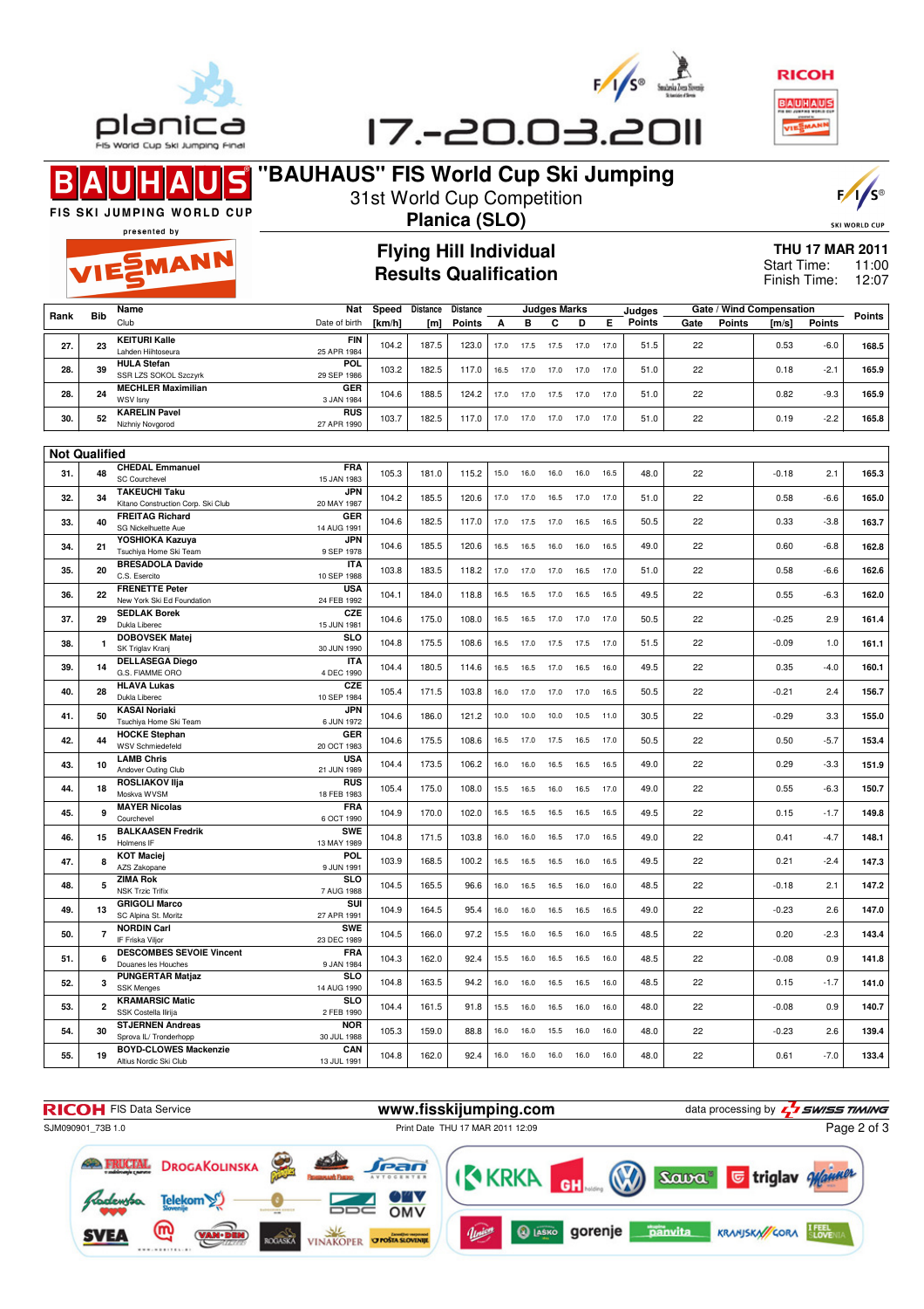





17 .- 20.03.2011

#### $\blacksquare$ B

EMANN

## **"BAUHAUS" FIS World Cup Ski Jumping** 31st World Cup Competition



SKI WORLD CUP

FIS SKI JUMPING WORLD CUP presented by

## **Planica (SLO) Flying Hill Individual Results Qualification**

#### **THU 17 MAR 2011** 11:00 Finish Time: 12:07 Start Time:

|      |            | Name                                         | <b>Nat</b>                | Speed  | <b>Distance</b> | <b>Distance</b> |      |      | <b>Judges Marks</b> |      |      | Judges        |      |               | Gate / Wind Compensation |               | <b>Points</b> |  |
|------|------------|----------------------------------------------|---------------------------|--------|-----------------|-----------------|------|------|---------------------|------|------|---------------|------|---------------|--------------------------|---------------|---------------|--|
| Rank | <b>Bib</b> | Club                                         | Date of birth             | [km/h] | [m]             | <b>Points</b>   |      |      |                     | D    |      | <b>Points</b> | Gate | <b>Points</b> | [m/s]                    | <b>Points</b> |               |  |
| 27.  | 23         | <b>KEITURI Kalle</b><br>Lahden Hiihtoseura   | <b>FIN</b><br>25 APR 1984 | 104.2  | 187.5           | 123.0           | 17.0 | 17.5 | 17.5                | 17.0 | 17.0 | 51.5          | 22   |               | 0.53                     | $-6.0$        | 168.5         |  |
| 28.  | 39         | <b>HULA Stefan</b><br>SSR LZS SOKOL Szczyrk  | <b>POL</b><br>29 SEP 1986 | 103.2  | 182.5           | 117.0           | 16.5 | 17.0 | 17.0                | 17.0 | 17.0 | 51.0          | 22   |               | 0.18                     | $-2.7$        | 165.9         |  |
| 28.  | 24         | <b>MECHLER Maximilian</b><br><b>WSV Isnv</b> | <b>GER</b><br>3 JAN 1984  | 104.6  | 188.5           | 124.2           | 17.0 | 17.0 | 17.5                | 17.0 | 17.0 | 51.0          | 22   |               | 0.82                     | $-9.3$        | 165.9         |  |
| 30.  | 52         | <b>KARELIN Pavel</b><br>Nizhniy Novgorod     | <b>RUS</b><br>27 APR 1990 | 103.7  | 182.5           | 117.0           | 17.0 | 1/0  | 17.0                | 17.0 | 17.0 | 51.0          | 22   |               | 0.19                     | $-2.2$        | 165.8         |  |

| <b>Not Qualified</b> |                |                                                            |                           |       |       |       |      |           |      |      |      |      |    |         |        |       |
|----------------------|----------------|------------------------------------------------------------|---------------------------|-------|-------|-------|------|-----------|------|------|------|------|----|---------|--------|-------|
| 31.                  | 48             | <b>CHEDAL Emmanuel</b>                                     | <b>FRA</b>                | 105.3 | 181.0 | 115.2 | 15.0 | 16.0      | 16.0 | 16.0 | 16.5 | 48.0 | 22 | $-0.18$ | 2.1    | 165.3 |
|                      |                | <b>SC Courchevel</b>                                       | 15 JAN 1983               |       |       |       |      |           |      |      |      |      |    |         |        |       |
| 32.                  | 34             | <b>TAKEUCHI Taku</b><br>Kitano Construction Corp. Ski Club | <b>JPN</b><br>20 MAY 1987 | 104.2 | 185.5 | 120.6 | 17.0 | 17.0      | 16.5 | 17.0 | 17.0 | 51.0 | 22 | 0.58    | $-6.6$ | 165.0 |
| 33.                  | 40             | <b>FREITAG Richard</b><br>SG Nickelhuette Aue              | <b>GER</b><br>14 AUG 1991 | 104.6 | 182.5 | 117.0 | 17.0 | 17.5      | 17.0 | 16.5 | 16.5 | 50.5 | 22 | 0.33    | $-3.8$ | 163.7 |
| 34.                  | 21             | YOSHIOKA Kazuya                                            | <b>JPN</b>                | 104.6 | 185.5 | 120.6 | 16.5 | 16.5      | 16.0 | 16.0 | 16.5 | 49.0 | 22 | 0.60    | $-6.8$ | 162.8 |
| 35.                  | 20             | Tsuchiya Home Ski Team<br><b>BRESADOLA Davide</b>          | 9 SEP 1978<br><b>ITA</b>  | 103.8 | 183.5 | 118.2 | 17.0 | 17.0      | 17.0 | 16.5 | 17.0 | 51.0 | 22 | 0.58    | $-6.6$ | 162.6 |
|                      |                | C.S. Esercito<br><b>FRENETTE Peter</b>                     | 10 SEP 1988<br><b>USA</b> |       |       |       |      |           |      |      |      |      |    |         |        |       |
| 36.                  | 22             | New York Ski Ed Foundation                                 | 24 FEB 1992               | 104.1 | 184.0 | 118.8 | 16.5 | 16.5      | 17.0 | 16.5 | 16.5 | 49.5 | 22 | 0.55    | $-6.3$ | 162.0 |
| 37.                  | 29             | <b>SEDLAK Borek</b><br>Dukla Liberec                       | <b>CZE</b><br>15 JUN 1981 | 104.6 | 175.0 | 108.0 | 16.5 | 16.5      | 17.0 | 17.0 | 17.0 | 50.5 | 22 | $-0.25$ | 2.9    | 161.4 |
| 38.                  | $\mathbf{1}$   | <b>DOBOVSEK Matej</b><br>SK Triglav Kranj                  | <b>SLO</b><br>30 JUN 1990 | 104.8 | 175.5 | 108.6 | 16.5 | 17.0      | 17.5 | 17.5 | 17.0 | 51.5 | 22 | $-0.09$ | 1.0    | 161.1 |
| 39.                  | 14             | <b>DELLASEGA Diego</b><br>G.S. FIAMME ORO                  | <b>ITA</b><br>4 DEC 1990  | 104.4 | 180.5 | 114.6 | 16.5 | 16.5      | 17.0 | 16.5 | 16.0 | 49.5 | 22 | 0.35    | $-4.0$ | 160.1 |
| 40.                  | 28             | <b>HLAVA Lukas</b><br>Dukla Liberec                        | <b>CZE</b><br>10 SEP 1984 | 105.4 | 171.5 | 103.8 |      | 16.0 17.0 | 17.0 | 17.0 | 16.5 | 50.5 | 22 | $-0.21$ | 2.4    | 156.7 |
| 41.                  | 50             | <b>KASAI Noriaki</b><br>Tsuchiya Home Ski Team             | <b>JPN</b><br>6 JUN 1972  | 104.6 | 186.0 | 121.2 | 10.0 | 10.0      | 10.0 | 10.5 | 11.0 | 30.5 | 22 | $-0.29$ | 3.3    | 155.0 |
| 42.                  | 44             | <b>HOCKE Stephan</b>                                       | <b>GER</b>                | 104.6 | 175.5 | 108.6 | 16.5 | 17.0      | 17.5 | 16.5 | 17.0 | 50.5 | 22 | 0.50    | $-5.7$ | 153.4 |
|                      |                | <b>WSV Schmiedefeld</b>                                    | 20 OCT 1983               |       |       |       |      |           |      |      |      |      |    |         |        |       |
| 43.                  | 10             | <b>LAMB Chris</b><br>Andover Outing Club                   | <b>USA</b><br>21 JUN 1989 | 104.4 | 173.5 | 106.2 | 16.0 | 16.0      | 16.5 | 16.5 | 16.5 | 49.0 | 22 | 0.29    | $-3.3$ | 151.9 |
| 44.                  | 18             | <b>ROSLIAKOV IIia</b><br>Moskva WVSM                       | <b>RUS</b><br>18 FEB 1983 | 105.4 | 175.0 | 108.0 | 15.5 | 16.5      | 16.0 | 16.5 | 17.0 | 49.0 | 22 | 0.55    | $-6.3$ | 150.7 |
| 45.                  | 9              | <b>MAYER Nicolas</b><br>Courchevel                         | <b>FRA</b><br>6 OCT 1990  | 104.9 | 170.0 | 102.0 | 16.5 | 16.5      | 16.5 | 16.5 | 16.5 | 49.5 | 22 | 0.15    | $-1.7$ | 149.8 |
| 46.                  | 15             | <b>BALKAASEN Fredrik</b><br>Holmens IF                     | <b>SWE</b><br>13 MAY 1989 | 104.8 | 171.5 | 103.8 | 16.0 | 16.0      | 16.5 | 17.0 | 16.5 | 49.0 | 22 | 0.41    | $-4.7$ | 148.1 |
| 47.                  | 8              | <b>KOT Maciej</b><br>AZS Zakopane                          | POL                       | 103.9 | 168.5 | 100.2 | 16.5 | 16.5      | 16.5 | 16.0 | 16.5 | 49.5 | 22 | 0.21    | $-2.4$ | 147.3 |
| 48.                  | 5              | <b>ZIMA Rok</b>                                            | 9 JUN 1991<br><b>SLO</b>  | 104.5 | 165.5 | 96.6  | 16.0 | 16.5      | 16.5 | 16.0 | 16.0 | 48.5 | 22 | $-0.18$ | 2.1    | 147.2 |
| 49.                  | 13             | <b>NSK Trzic Trifix</b><br><b>GRIGOLI Marco</b>            | 7 AUG 1988<br><b>SUI</b>  | 104.9 | 164.5 | 95.4  | 16.0 | 16.0      | 16.5 | 16.5 | 16.5 | 49.0 | 22 | $-0.23$ | 2.6    | 147.0 |
|                      |                | SC Alpina St. Moritz<br><b>NORDIN Carl</b>                 | 27 APR 1991<br><b>SWE</b> |       |       |       |      |           |      |      |      |      |    |         |        |       |
| 50.                  | $\overline{7}$ | IF Friska Vilior<br><b>DESCOMBES SEVOIE Vincent</b>        | 23 DEC 1989<br><b>FRA</b> | 104.5 | 166.0 | 97.2  | 15.5 | 16.0      | 16.5 | 16.0 | 16.5 | 48.5 | 22 | 0.20    | $-2.3$ | 143.4 |
| 51.                  | 6              | Douanes les Houches                                        | 9 JAN 1984                | 104.3 | 162.0 | 92.4  | 15.5 | 16.0      | 16.5 | 16.5 | 16.0 | 48.5 | 22 | $-0.08$ | 0.9    | 141.8 |
| 52.                  | 3              | <b>PUNGERTAR Matjaz</b><br><b>SSK Menges</b>               | <b>SLO</b><br>14 AUG 1990 | 104.8 | 163.5 | 94.2  | 16.0 | 16.0      | 16.5 | 16.5 | 16.0 | 48.5 | 22 | 0.15    | $-1.7$ | 141.0 |
| 53.                  | $\overline{2}$ | <b>KRAMARSIC Matic</b><br>SSK Costella Ilirija             | <b>SLO</b><br>2 FEB 1990  | 104.4 | 161.5 | 91.8  | 15.5 | 16.0      | 16.5 | 16.0 | 16.0 | 48.0 | 22 | $-0.08$ | 0.9    | 140.7 |
| 54.                  | 30             | <b>STJERNEN Andreas</b><br>Sprova IL/ Tronderhopp          | <b>NOR</b><br>30 JUL 1988 | 105.3 | 159.0 | 88.8  | 16.0 | 16.0      | 15.5 | 16.0 | 16.0 | 48.0 | 22 | $-0.23$ | 2.6    | 139.4 |
| 55.                  | 19             | <b>BOYD-CLOWES Mackenzie</b><br>Altius Nordic Ski Club     | CAN<br>13 JUL 1991        | 104.8 | 162.0 | 92.4  | 16.0 | 16.0      | 16.0 | 16.0 | 16.0 | 48.0 | 22 | 0.61    | $-7.0$ | 133.4 |
|                      |                |                                                            |                           |       |       |       |      |           |      |      |      |      |    |         |        |       |